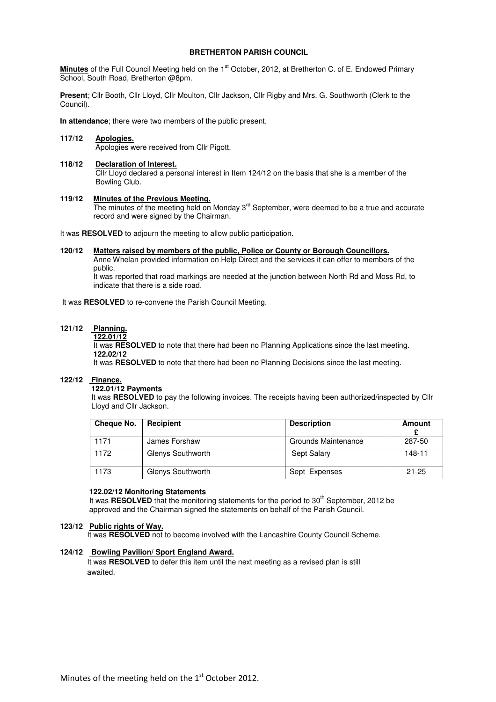### **BRETHERTON PARISH COUNCIL**

**Minutes** of the Full Council Meeting held on the 1<sup>st</sup> October, 2012, at Bretherton C. of E. Endowed Primary School, South Road, Bretherton @8pm.

**Present**; Cllr Booth, Cllr Lloyd, Cllr Moulton, Cllr Jackson, Cllr Rigby and Mrs. G. Southworth (Clerk to the Council).

**In attendance**; there were two members of the public present.

### **117/12 Apologies.**

Apologies were received from Cllr Pigott.

#### **118/12 Declaration of Interest.**

Cllr Lloyd declared a personal interest in Item 124/12 on the basis that she is a member of the Bowling Club.

#### **119/12 Minutes of the Previous Meeting.**

The minutes of the meeting held on Monday 3<sup>rd</sup> September, were deemed to be a true and accurate record and were signed by the Chairman.

It was **RESOLVED** to adjourn the meeting to allow public participation.

### **120/12 Matters raised by members of the public, Police or County or Borough Councillors.**

 Anne Whelan provided information on Help Direct and the services it can offer to members of the public.

 It was reported that road markings are needed at the junction between North Rd and Moss Rd, to indicate that there is a side road.

It was **RESOLVED** to re-convene the Parish Council Meeting.

# **121/12 Planning.**

#### **122.01/12**

It was **RESOLVED** to note that there had been no Planning Applications since the last meeting. **122.02/12** 

It was **RESOLVED** to note that there had been no Planning Decisions since the last meeting.

### **122/12 Finance.**

# **122.01/12 Payments**

It was **RESOLVED** to pay the following invoices. The receipts having been authorized/inspected by Cllr Lloyd and Cllr Jackson.

| Cheque No. | <b>Recipient</b>  | <b>Description</b>  | Amount    |
|------------|-------------------|---------------------|-----------|
| 1171       | James Forshaw     | Grounds Maintenance | 287-50    |
| 1172       | Glenys Southworth | Sept Salary         | 148-11    |
| 1173       | Glenys Southworth | Sept Expenses       | $21 - 25$ |

#### **122.02/12 Monitoring Statements**

It was **RESOLVED** that the monitoring statements for the period to 30<sup>th</sup> September, 2012 be approved and the Chairman signed the statements on behalf of the Parish Council.

#### **123/12 Public rights of Way.**

It was **RESOLVED** not to become involved with the Lancashire County Council Scheme.

### **124/12 Bowling Pavilion/ Sport England Award.**

 It was **RESOLVED** to defer this item until the next meeting as a revised plan is still awaited.